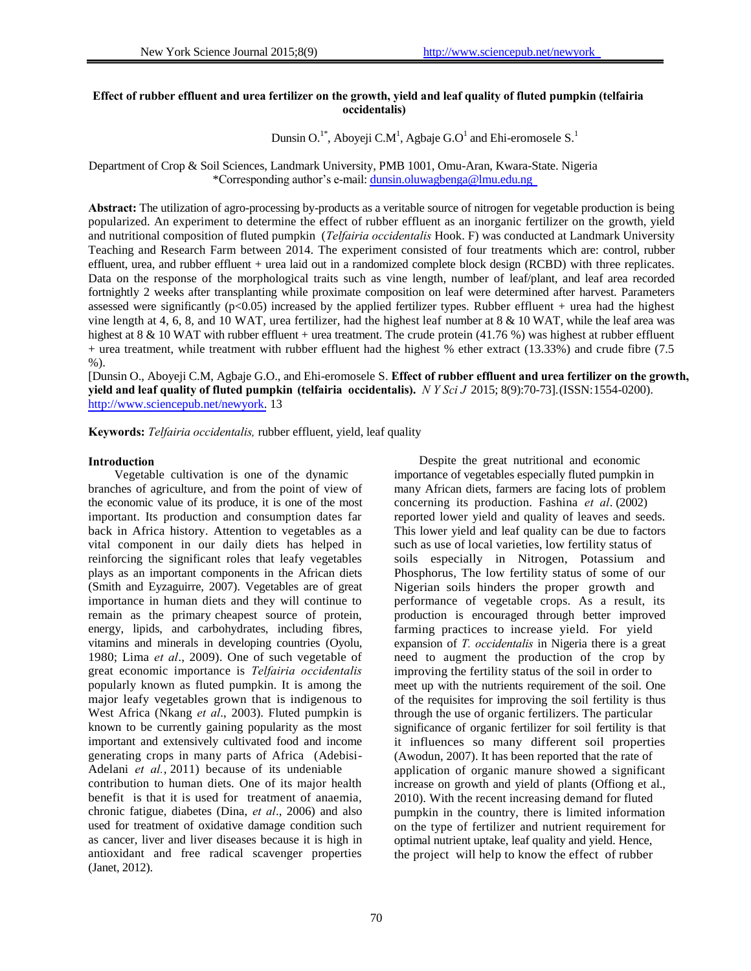# **Effect of rubber effluent and urea fertilizer on the growth, yield and leaf quality of fluted pumpkin (telfairia occidentalis)**

Dunsin O.<sup>1\*</sup>, Aboyeji C.M<sup>1</sup>, Agbaje G.O<sup>1</sup> and Ehi-eromosele S.<sup>1</sup>

Department of Crop & Soil Sciences, Landmark University, PMB 1001, Omu-Aran, Kwara-State. Nigeria \*Corresponding author's e-mail: dunsin.oluwagbenga@lmu.edu.ng

**Abstract:** The utilization of agro-processing by-products as a veritable source of nitrogen for vegetable production is being popularized. An experiment to determine the effect of rubber effluent as an inorganic fertilizer on the growth, yield and nutritional composition of fluted pumpkin (*Telfairia occidentalis* Hook. F) was conducted at Landmark University Teaching and Research Farm between 2014. The experiment consisted of four treatments which are: control, rubber effluent, urea, and rubber effluent + urea laid out in a randomized complete block design (RCBD) with three replicates. Data on the response of the morphological traits such as vine length, number of leaf/plant, and leaf area recorded fortnightly 2 weeks after transplanting while proximate composition on leaf were determined after harvest. Parameters assessed were significantly  $(p<0.05)$  increased by the applied fertilizer types. Rubber effluent + urea had the highest vine length at 4, 6, 8, and 10 WAT, urea fertilizer, had the highest leaf number at  $8 \& 10$  WAT, while the leaf area was highest at 8 & 10 WAT with rubber effluent + urea treatment. The crude protein (41.76 %) was highest at rubber effluent + urea treatment, while treatment with rubber effluent had the highest % ether extract (13.33%) and crude fibre (7.5  $%$ ).

[Dunsin O., Aboyeji C.M, Agbaje G.O., and Ehi-eromosele S. **Effect of rubber effluent and urea fertilizer on the growth, yield and leaf quality of fluted pumpkin (telfairia occidentalis).** *N Y Sci J* 2015; 8(9):70-73].(ISSN:1554-0200). http://www.sciencepub.net/newyork. 13

**Keywords:** *Telfairia occidentalis,* rubber effluent, yield, leaf quality

(Janet, 2012).

Vegetable cultivation is one of the dynamic branches of agriculture, and from the point of view of the economic value of its produce, it is one of the most important. Its production and consumption dates far back in Africa history. Attention to vegetables as a vital component in our daily diets has helped in reinforcing the significant roles that leafy vegetables plays as an important components in the African diets (Smith and Eyzaguirre, 2007). Vegetables are of great importance in human diets and they will continue to remain as the primary cheapest source of protein, energy, lipids, and carbohydrates, including fibres, vitamins and minerals in developing countries (Oyolu, 1980; Lima *et al*., 2009). One of such vegetable of great economic importance is *Telfairia occidentalis*  popularly known as fluted pumpkin. It is among the major leafy vegetables grown that is indigenous to West Africa (Nkang *et al*., 2003). Fluted pumpkin is known to be currently gaining popularity as the most important and extensively cultivated food and income generating crops in many parts of Africa (Adebisi-Adelani *et al.*, 2011) because of its undeniable contribution to human diets. One of its major health benefit is that it is used for treatment of anaemia, chronic fatigue, diabetes (Dina, *et al*., 2006) and also used for treatment of oxidative damage condition such as cancer, liver and liver diseases because it is high in antioxidant and free radical scavenger properties

**Introduction** Despite the great nutritional and economic importance of vegetables especially fluted pumpkin in many African diets, farmers are facing lots of problem concerning its production. Fashina *et al*. (2002) reported lower yield and quality of leaves and seeds. This lower yield and leaf quality can be due to factors such as use of local varieties, low fertility status of soils especially in Nitrogen, Potassium and Phosphorus, The low fertility status of some of our Nigerian soils hinders the proper growth and performance of vegetable crops. As a result, its production is encouraged through better improved farming practices to increase yield. For yield expansion of *T. occidentalis* in Nigeria there is a great need to augment the production of the crop by improving the fertility status of the soil in order to meet up with the nutrients requirement of the soil. One of the requisites for improving the soil fertility is thus through the use of organic fertilizers. The particular significance of organic fertilizer for soil fertility is that it influences so many different soil properties (Awodun, 2007). It has been reported that the rate of application of organic manure showed a significant increase on growth and yield of plants (Offiong et al., 2010). With the recent increasing demand for fluted pumpkin in the country, there is limited information on the type of fertilizer and nutrient requirement for optimal nutrient uptake, leaf quality and yield. Hence, the project will help to know the effect of rubber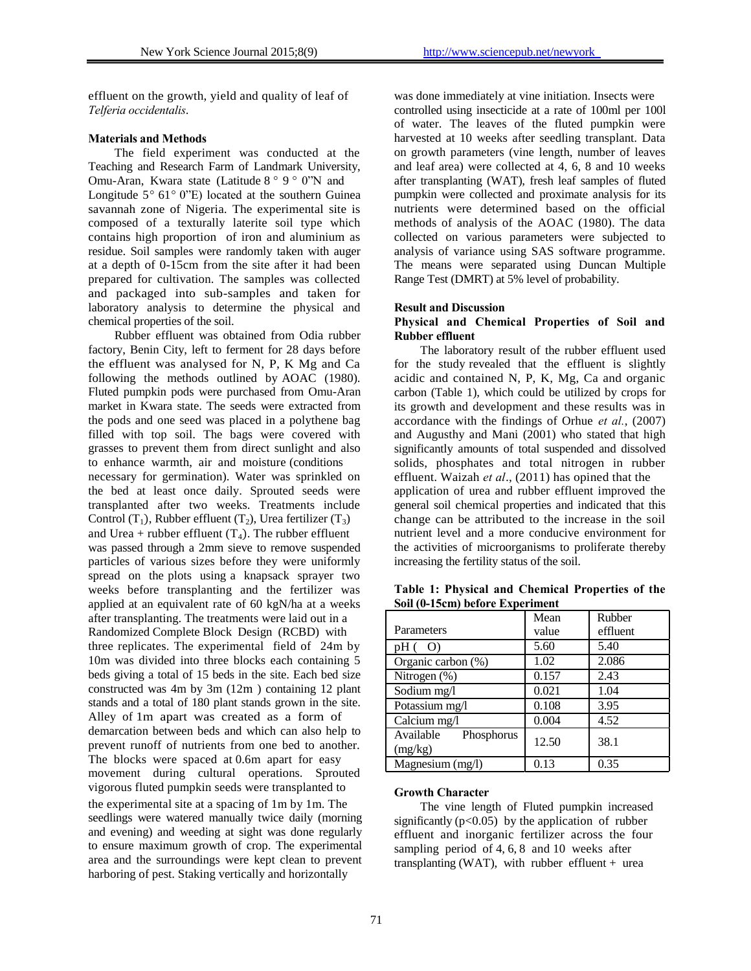effluent on the growth, yield and quality of leaf of *Telferia occidentalis*.

## **Materials and Methods**

The field experiment was conducted at the Teaching and Research Farm of Landmark University, Omu-Aran, Kwara state (Latitude 8 *°* 9 *°* 0"N and Longitude 5*°* 61*°* 0"E) located at the southern Guinea savannah zone of Nigeria. The experimental site is composed of a texturally laterite soil type which contains high proportion of iron and aluminium as residue. Soil samples were randomly taken with auger at a depth of 0-15cm from the site after it had been prepared for cultivation. The samples was collected and packaged into sub-samples and taken for laboratory analysis to determine the physical and chemical properties of the soil.

Rubber effluent was obtained from Odia rubber factory, Benin City, left to ferment for 28 days before the effluent was analysed for N, P, K Mg and Ca following the methods outlined by AOAC (1980). Fluted pumpkin pods were purchased from Omu-Aran market in Kwara state. The seeds were extracted from the pods and one seed was placed in a polythene bag filled with top soil. The bags were covered with grasses to prevent them from direct sunlight and also to enhance warmth, air and moisture (conditions necessary for germination). Water was sprinkled on the bed at least once daily. Sprouted seeds were transplanted after two weeks. Treatments include Control (T<sub>1</sub>), Rubber effluent (T<sub>2</sub>), Urea fertilizer (T<sub>3</sub>) and Urea + rubber effluent  $(T_4)$ . The rubber effluent was passed through a 2mm sieve to remove suspended particles of various sizes before they were uniformly spread on the plots using a knapsack sprayer two weeks before transplanting and the fertilizer was applied at an equivalent rate of 60 kgN/ha at a weeks after transplanting. The treatments were laid out in a Randomized Complete Block Design (RCBD) with three replicates. The experimental field of 24m by 10m was divided into three blocks each containing 5 beds giving a total of 15 beds in the site. Each bed size constructed was 4m by 3m (12m ) containing 12 plant stands and a total of 180 plant stands grown in the site. Alley of 1m apart was created as a form of demarcation between beds and which can also help to prevent runoff of nutrients from one bed to another. The blocks were spaced at 0.6m apart for easy movement during cultural operations. Sprouted vigorous fluted pumpkin seeds were transplanted to the experimental site at a spacing of 1m by 1m. The seedlings were watered manually twice daily (morning and evening) and weeding at sight was done regularly to ensure maximum growth of crop. The experimental area and the surroundings were kept clean to prevent harboring of pest. Staking vertically and horizontally

was done immediately at vine initiation. Insects were controlled using insecticide at a rate of 100ml per 100l of water. The leaves of the fluted pumpkin were harvested at 10 weeks after seedling transplant. Data on growth parameters (vine length, number of leaves and leaf area) were collected at 4, 6, 8 and 10 weeks after transplanting (WAT), fresh leaf samples of fluted pumpkin were collected and proximate analysis for its nutrients were determined based on the official methods of analysis of the AOAC (1980). The data collected on various parameters were subjected to analysis of variance using SAS software programme. The means were separated using Duncan Multiple Range Test (DMRT) at 5% level of probability.

### **Result and Discussion**

# **Physical and Chemical Properties of Soil and Rubber effluent**

The laboratory result of the rubber effluent used for the study revealed that the effluent is slightly acidic and contained N, P, K, Mg, Ca and organic carbon (Table 1), which could be utilized by crops for its growth and development and these results was in accordance with the findings of Orhue *et al.*, (2007) and Augusthy and Mani (2001) who stated that high significantly amounts of total suspended and dissolved solids, phosphates and total nitrogen in rubber effluent. Waizah *et al*., (2011) has opined that the application of urea and rubber effluent improved the general soil chemical properties and indicated that this change can be attributed to the increase in the soil nutrient level and a more conducive environment for the activities of microorganisms to proliferate thereby increasing the fertility status of the soil.

|                                    | Mean  | Rubber   |
|------------------------------------|-------|----------|
| Parameters                         | value | effluent |
| $pH($ O)                           | 5.60  | 5.40     |
| Organic carbon (%)                 | 1.02  | 2.086    |
| Nitrogen (%)                       | 0.157 | 2.43     |
| Sodium mg/l                        | 0.021 | 1.04     |
| Potassium mg/l                     | 0.108 | 3.95     |
| Calcium mg/l                       | 0.004 | 4.52     |
| Available<br>Phosphorus<br>(mg/kg) | 12.50 | 38.1     |
| Magnesium (mg/l)                   | 0.13  | 0.35     |

**Table 1: Physical and Chemical Properties of the Soil (0-15cm) before Experiment**

### **Growth Character**

The vine length of Fluted pumpkin increased significantly  $(p<0.05)$  by the application of rubber effluent and inorganic fertilizer across the four sampling period of 4, 6, 8 and 10 weeks after transplanting (WAT), with rubber effluent  $+$  urea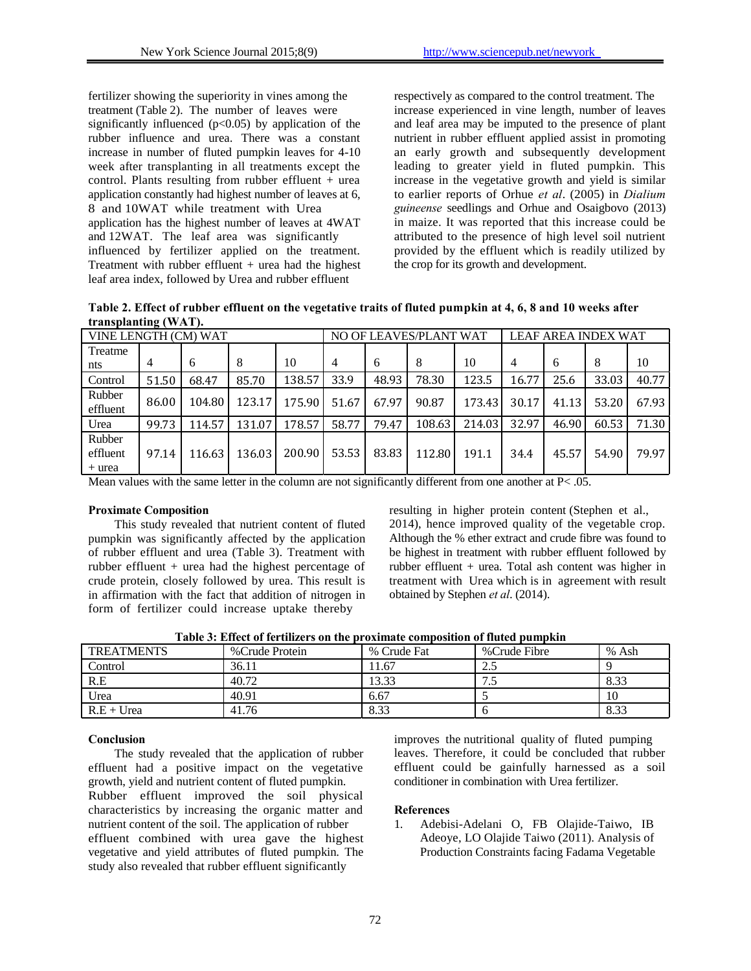fertilizer showing the superiority in vines among the treatment (Table 2). The number of leaves were significantly influenced  $(p<0.05)$  by application of the rubber influence and urea. There was a constant increase in number of fluted pumpkin leaves for 4-10 week after transplanting in all treatments except the control. Plants resulting from rubber effluent  $+$  urea application constantly had highest number of leaves at 6, 8 and 10WAT while treatment with Urea application has the highest number of leaves at 4WAT and 12WAT. The leaf area was significantly influenced by fertilizer applied on the treatment. Treatment with rubber effluent + urea had the highest leaf area index, followed by Urea and rubber effluent

respectively as compared to the control treatment. The increase experienced in vine length, number of leaves and leaf area may be imputed to the presence of plant nutrient in rubber effluent applied assist in promoting an early growth and subsequently development leading to greater yield in fluted pumpkin. This increase in the vegetative growth and yield is similar to earlier reports of Orhue *et al*. (2005) in *Dialium guineense* seedlings and Orhue and Osaigbovo (2013) in maize. It was reported that this increase could be attributed to the presence of high level soil nutrient provided by the effluent which is readily utilized by the crop for its growth and development.

**Table 2. Effect of rubber effluent on the vegetative traits of fluted pumpkin at 4, 6, 8 and 10 weeks after transplanting (WAT).**

| VINE LENGTH (CM) WAT         |       |        | NO OF LEAVES/PLANT WAT |        |       | <b>LEAF AREA INDEX WAT</b> |        |        |                |       |       |       |
|------------------------------|-------|--------|------------------------|--------|-------|----------------------------|--------|--------|----------------|-------|-------|-------|
| Treatme                      |       |        |                        |        |       |                            |        |        |                |       |       |       |
| nts                          | 4     | 6      | 8                      | 10     | 4     | 6                          | 8      | 10     | $\overline{4}$ | 6     | 8     | 10    |
| Control                      | 51.50 | 68.47  | 85.70                  | 138.57 | 33.9  | 48.93                      | 78.30  | 123.5  | 16.77          | 25.6  | 33.03 | 40.77 |
| Rubber<br>effluent           | 86.00 | 104.80 | 123.17                 | 175.90 | 51.67 | 67.97                      | 90.87  | 173.43 | 30.17          | 41.13 | 53.20 | 67.93 |
| Urea                         | 99.73 | 114.57 | 131.07                 | 178.57 | 58.77 | 79.47                      | 108.63 | 214.03 | 32.97          | 46.90 | 60.53 | 71.30 |
| Rubber<br>effluent<br>+ urea | 97.14 | 116.63 | 136.03                 | 200.90 | 53.53 | 83.83                      | 112.80 | 191.1  | 34.4           | 45.57 | 54.90 | 79.97 |

Mean values with the same letter in the column are not significantly different from one another at  $P < .05$ .

# **Proximate Composition**

This study revealed that nutrient content of fluted pumpkin was significantly affected by the application of rubber effluent and urea (Table 3). Treatment with rubber effluent + urea had the highest percentage of crude protein, closely followed by urea. This result is in affirmation with the fact that addition of nitrogen in form of fertilizer could increase uptake thereby

resulting in higher protein content (Stephen et al., 2014), hence improved quality of the vegetable crop. Although the % ether extract and crude fibre was found to be highest in treatment with rubber effluent followed by rubber effluent + urea. Total ash content was higher in treatment with Urea which is in agreement with result obtained by Stephen *et al*. (2014).

**Table 3: Effect of fertilizers on the proximate composition of fluted pumpkin**

| <b>TREATMENTS</b> | % Crude Protein | % Crude Fat | %Crude Fibre | % Ash |
|-------------------|-----------------|-------------|--------------|-------|
| Control           | 36.11           | 11.67       | ن ک          |       |
| R.E               | 40.72           | 13.33       | ن ر          | 8.33  |
| Urea              | 40.91           | 6.67        |              | 10    |
| $R.E+Urea$        | 41.76           | 8.33        |              | 8.33  |

# **Conclusion**

The study revealed that the application of rubber effluent had a positive impact on the vegetative growth, yield and nutrient content of fluted pumpkin. Rubber effluent improved the soil physical characteristics by increasing the organic matter and nutrient content of the soil. The application of rubber effluent combined with urea gave the highest vegetative and yield attributes of fluted pumpkin. The study also revealed that rubber effluent significantly

improves the nutritional quality of fluted pumping leaves. Therefore, it could be concluded that rubber effluent could be gainfully harnessed as a soil conditioner in combination with Urea fertilizer.

## **References**

1. Adebisi-Adelani O, FB Olajide-Taiwo, IB Adeoye, LO Olajide Taiwo (2011). Analysis of Production Constraints facing Fadama Vegetable